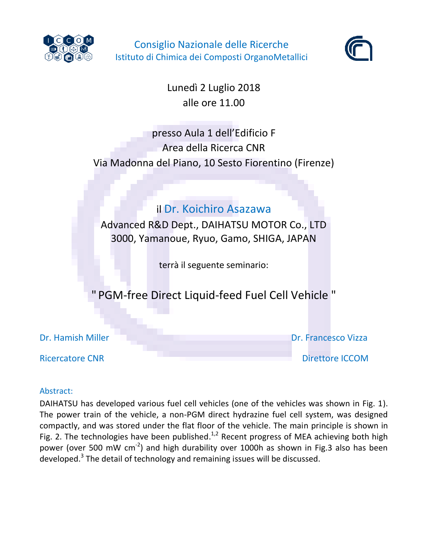

Consiglio Nazionale delle Ricerche Istituto di Chimica dei Composti OrganoMetallici



Lunedì 2 Luglio 2018 alle ore 11.00

# presso Aula 1 dell'Edificio F Area della Ricerca CNR Via Madonna del Piano, 10 Sesto Fiorentino (Firenze)

# il Dr. Koichiro Asazawa

Advanced R&D Dept., DAIHATSU MOTOR Co., LTD 3000, Yamanoue, Ryuo, Gamo, SHIGA, JAPAN

terrà il seguente seminario:

" PGM-free Direct Liquid-feed Fuel Cell Vehicle "

| Dr. Hamish Miller      |  |  |
|------------------------|--|--|
| <b>Ricercatore CNR</b> |  |  |

Dr. Francesco Vizza Direttore ICCOM

## Abstract:

DAIHATSU has developed various fuel cell vehicles (one of the vehicles was shown in Fig. 1). The power train of the vehicle, a non-PGM direct hydrazine fuel cell system, was designed compactly, and was stored under the flat floor of the vehicle. The main principle is shown in Fig. 2. The technologies have been published.<sup>1,2</sup> Recent progress of MEA achieving both high power (over 500 mW cm<sup>-2</sup>) and high durability over 1000h as shown in Fig.3 also has been developed.<sup>3</sup> The detail of technology and remaining issues will be discussed.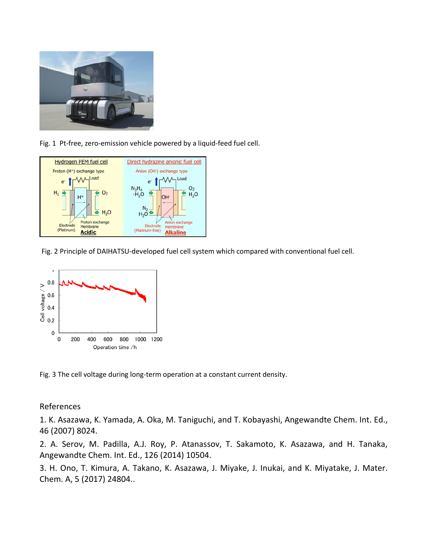

Fig. 1 Pt-free, zero-emission vehicle powered by a liquid-feed fuel cell.



Fig. 2 Principle of DAIHATSU-developed fuel cell system which compared with conventional fuel cell.



Fig. 3 The cell voltage during long-term operation at a constant current density.

#### References

1. K. Asazawa, K. Yamada, A. Oka, M. Taniguchi, and T. Kobayashi, Angewandte Chem. Int. Ed., 46 (2007) 8024.

2. A. Serov, M. Padilla, A.J. Roy, P. Atanassov, T. Sakamoto, K. Asazawa, and H. Tanaka, Angewandte Chem. Int. Ed., 126 (2014) 10504.

3. H. Ono, T. Kimura, A. Takano, K. Asazawa, J. Miyake, J. Inukai, and K. Miyatake, J. Mater. Chem. A, 5 (2017) 24804..